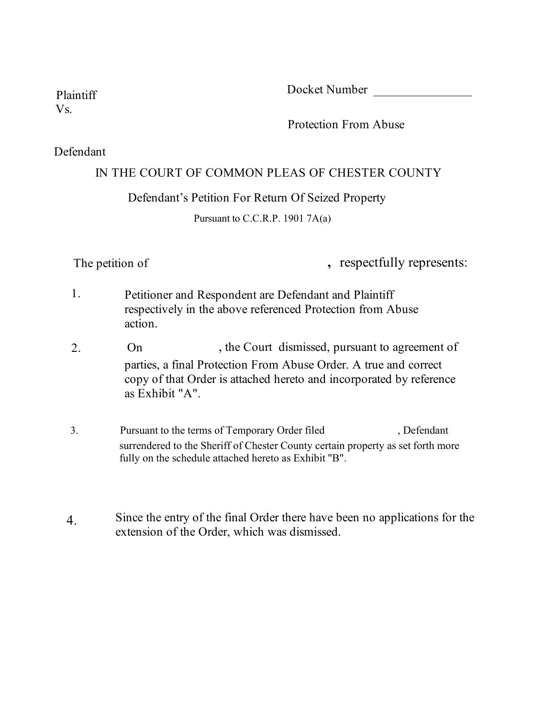Plaintiff Docket Number

Vs.

Protection From Abuse

#### Defendant

#### IN THE COURT OF COMMON PLEAS OF CHESTER COUNTY

#### Defendant's Petition For Return Of Seized Property

Pursuant to C.C.R.P. 1901 7A(a)

The petition of **the petition of <b>the petition** of **,** respectfully represents:

- 1. Petitioner and Respondent are Defendant and Plaintiff respectively in the above referenced Protection from Abuse action.
- , the Court dismissed, pursuant to agreement of parties, a final Protection From Abuse Order. A true and correct copy of that Order is attached hereto and incorporated by reference as Exhibit "A". 2. On
- 3. surrendered to the Sheriff of Chester County certain property as set forth more fully on the schedule attached hereto as Exhibit "B". Pursuant to the terms of Temporary Order filed , Defendant
- Since the entry of the final Order there have been no applications for the extension of the Order, which was dismissed. 4.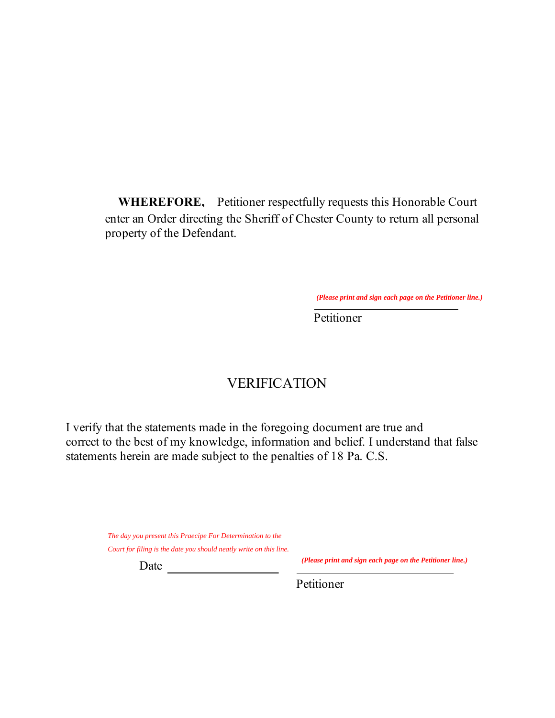**WHEREFORE,** Petitioner respectfully requests this Honorable Court enter an Order directing the Sheriff of Chester County to return all personal property of the Defendant.

Petitioner

## VERIFICATION

I verify that the statements made in the foregoing document are true and correct to the best of my knowledge, information and belief. I understand that false statements herein are made subject to the penalties of 18 Pa. C.S. *Clease print and sign each page on the Petitioner line.*)<br>  $\overline{\text{Petitioner}}$ <br>  $\overline{\text{Petitioner}}$ <br>  $\overline{\text{Petitioner}}$ <br>  $\overline{\text{Petitioner}}$ <br>  $\overline{\text{Petitioner}}$ <br>  $\overline{\text{Petitioner}}$ <br>  $\overline{\text{Pet function}}$ <br>  $\overline{\text{Pet function}}$   $\overline{\text{Pet function}}$   $\overline{\text{Pet function}}$   $\overline{\text{Pet function}}$   $\overline{\text$ 

*The day you present this Praecipe For Determination to the*

Date

*(Please print and sign each page on the Petitioner line.)*

Petitioner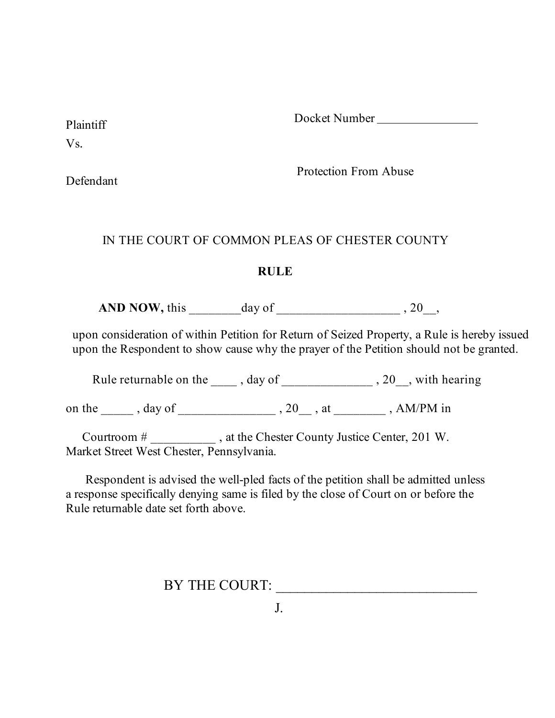Plaintiff Docket Number

Vs.

Defendant

Protection From Abuse

## IN THE COURT OF COMMON PLEAS OF CHESTER COUNTY

## **RULE**

AND NOW, this \_\_\_\_\_\_\_\_day of \_\_\_\_\_\_\_\_\_\_\_\_\_\_\_\_\_\_\_\_\_\_\_\_\_\_, 20\_\_,

upon consideration of within Petition for Return of Seized Property, a Rule is hereby issued upon the Respondent to show cause why the prayer of the Petition should not be granted.

Rule returnable on the  $\_\_\_\_$ , day of  $\_\_\_\_\_\_$ , 20, with hearing

on the \_\_\_\_\_\_ , day of \_\_\_\_\_\_\_\_\_\_\_\_\_\_\_\_\_ , 20\_\_\_ , at \_\_\_\_\_\_\_\_\_ , AM/PM in

 Courtroom # \_\_\_\_\_\_\_\_\_\_ , at the Chester County Justice Center, 201 W. Market Street West Chester, Pennsylvania.

 Respondent is advised the well-pled facts of the petition shall be admitted unless a response specifically denying same is filed by the close of Court on or before the Rule returnable date set forth above.

BY THE COURT: \_\_\_\_\_\_\_\_\_\_\_\_\_\_\_\_\_\_\_\_\_\_\_\_\_\_\_\_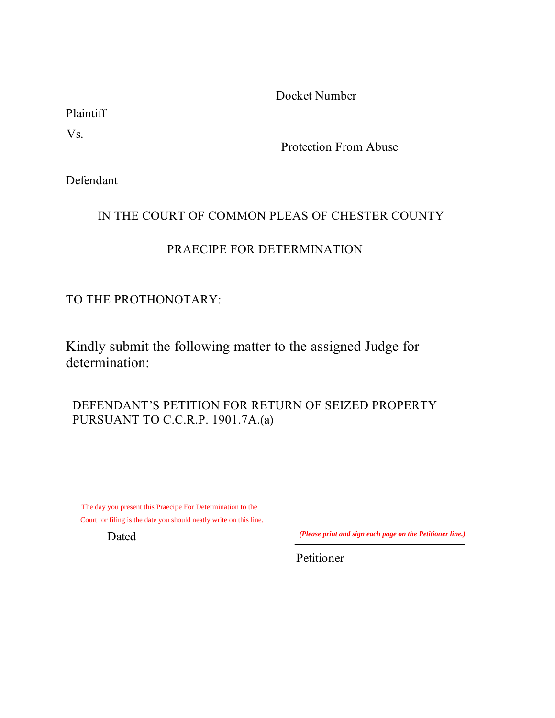Docket Number

Plaintiff

Vs.

Protection From Abuse

Defendant

## IN THE COURT OF COMMON PLEAS OF CHESTER COUNTY

# PRAECIPE FOR DETERMINATION

TO THE PROTHONOTARY:

Kindly submit the following matter to the assigned Judge for determination:

DEFENDANT'S PETITION FOR RETURN OF SEIZED PROPERTY PURSUANT TO C.C.R.P. 1901.7A.(a)

The day you present this Praecipe For Determination to the Court for filing is the date you should neatly write on this line.

Dated

*(Please print and sign each page on the Petitioner line.)*

Petitioner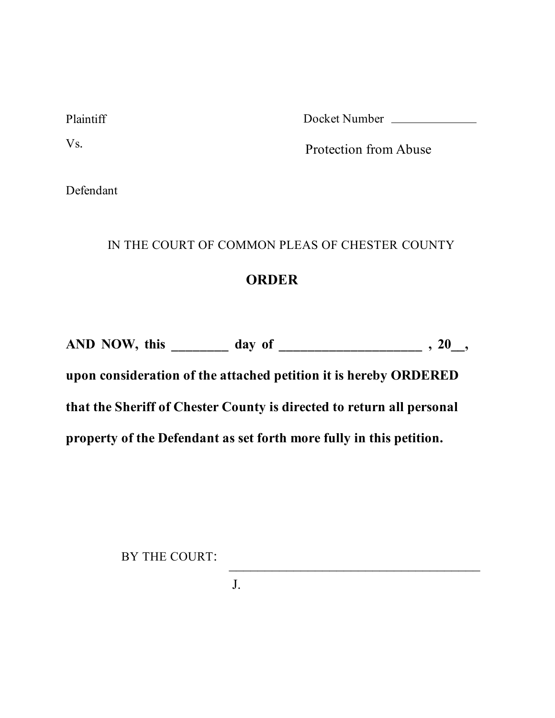Plaintiff Docket Number

Vs. Protection from Abuse

Defendant

## IN THE COURT OF COMMON PLEAS OF CHESTER COUNTY

# **ORDER**

**AND NOW, this \_\_\_\_\_\_\_\_ day of \_\_\_\_\_\_\_\_\_\_\_\_\_\_\_\_\_\_\_\_ , 20\_\_,** 

**upon consideration of the attached petition it is hereby ORDERED that the Sheriff of Chester County is directed to return all personal property of the Defendant as set forth more fully in this petition.**

BY THE COURT:

J.